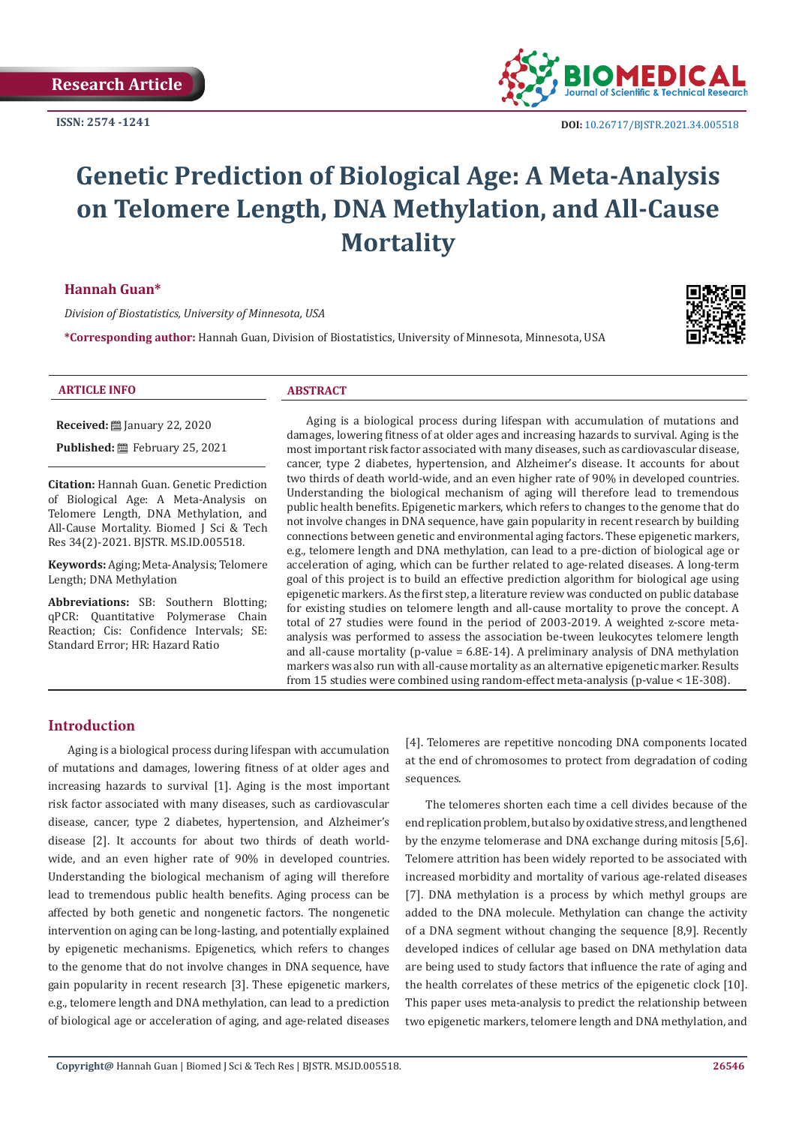**ISSN: 2574 -1241**



# **Genetic Prediction of Biological Age: A Meta-Analysis on Telomere Length, DNA Methylation, and All-Cause Mortality**

## **Hannah Guan\***

*Division of Biostatistics, University of Minnesota, USA*

**\*Corresponding author:** Hannah Guan, Division of Biostatistics, University of Minnesota, Minnesota, USA



#### **ARTICLE INFO ABSTRACT**

**Received:** [201] January 22, 2020

**Published:** February 25, 2021

**Citation:** Hannah Guan. Genetic Prediction of Biological Age: A Meta-Analysis on Telomere Length, DNA Methylation, and All-Cause Mortality. Biomed J Sci & Tech Res 34(2)-2021. BJSTR. MS.ID.005518.

**Keywords:** Aging; Meta-Analysis; Telomere Length; DNA Methylation

**Abbreviations:** SB: Southern Blotting; qPCR: Quantitative Polymerase Chain Reaction; Cis: Confidence Intervals; SE: Standard Error; HR: Hazard Ratio

Aging is a biological process during lifespan with accumulation of mutations and damages, lowering fitness of at older ages and increasing hazards to survival. Aging is the most important risk factor associated with many diseases, such as cardiovascular disease, cancer, type 2 diabetes, hypertension, and Alzheimer's disease. It accounts for about two thirds of death world-wide, and an even higher rate of 90% in developed countries. Understanding the biological mechanism of aging will therefore lead to tremendous public health benefits. Epigenetic markers, which refers to changes to the genome that do not involve changes in DNA sequence, have gain popularity in recent research by building connections between genetic and environmental aging factors. These epigenetic markers, e.g., telomere length and DNA methylation, can lead to a pre-diction of biological age or acceleration of aging, which can be further related to age-related diseases. A long-term goal of this project is to build an effective prediction algorithm for biological age using epigenetic markers. As the first step, a literature review was conducted on public database for existing studies on telomere length and all-cause mortality to prove the concept. A total of 27 studies were found in the period of 2003-2019. A weighted z-score metaanalysis was performed to assess the association be-tween leukocytes telomere length and all-cause mortality (p-value  $= 6.8E-14$ ). A preliminary analysis of DNA methylation markers was also run with all-cause mortality as an alternative epigenetic marker. Results from 15 studies were combined using random-effect meta-analysis (p-value < 1E-308).

# **Introduction**

Aging is a biological process during lifespan with accumulation of mutations and damages, lowering fitness of at older ages and increasing hazards to survival [1]. Aging is the most important risk factor associated with many diseases, such as cardiovascular disease, cancer, type 2 diabetes, hypertension, and Alzheimer's disease [2]. It accounts for about two thirds of death worldwide, and an even higher rate of 90% in developed countries. Understanding the biological mechanism of aging will therefore lead to tremendous public health benefits. Aging process can be affected by both genetic and nongenetic factors. The nongenetic intervention on aging can be long-lasting, and potentially explained by epigenetic mechanisms. Epigenetics, which refers to changes to the genome that do not involve changes in DNA sequence, have gain popularity in recent research [3]. These epigenetic markers, e.g., telomere length and DNA methylation, can lead to a prediction of biological age or acceleration of aging, and age-related diseases

[4]. Telomeres are repetitive noncoding DNA components located at the end of chromosomes to protect from degradation of coding sequences.

The telomeres shorten each time a cell divides because of the end replication problem, but also by oxidative stress, and lengthened by the enzyme telomerase and DNA exchange during mitosis [5,6]. Telomere attrition has been widely reported to be associated with increased morbidity and mortality of various age-related diseases [7]. DNA methylation is a process by which methyl groups are added to the DNA molecule. Methylation can change the activity of a DNA segment without changing the sequence [8,9]. Recently developed indices of cellular age based on DNA methylation data are being used to study factors that influence the rate of aging and the health correlates of these metrics of the epigenetic clock [10]. This paper uses meta-analysis to predict the relationship between two epigenetic markers, telomere length and DNA methylation, and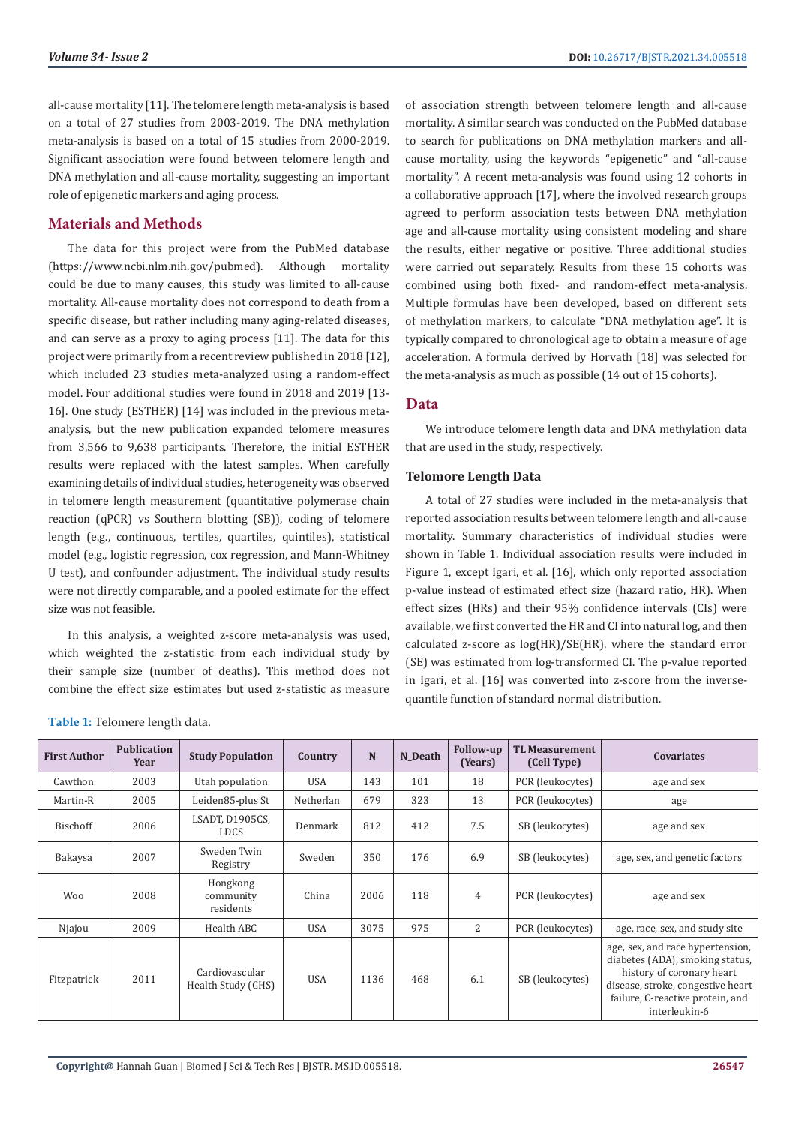all-cause mortality [11]. The telomere length meta-analysis is based on a total of 27 studies from 2003-2019. The DNA methylation meta-analysis is based on a total of 15 studies from 2000-2019. Significant association were found between telomere length and DNA methylation and all-cause mortality, suggesting an important role of epigenetic markers and aging process.

## **Materials and Methods**

The data for this project were from the PubMed database (https://www.ncbi.nlm.nih.gov/pubmed). Although mortality could be due to many causes, this study was limited to all-cause mortality. All-cause mortality does not correspond to death from a specific disease, but rather including many aging-related diseases, and can serve as a proxy to aging process [11]. The data for this project were primarily from a recent review published in 2018 [12], which included 23 studies meta-analyzed using a random-effect model. Four additional studies were found in 2018 and 2019 [13- 16]. One study (ESTHER) [14] was included in the previous metaanalysis, but the new publication expanded telomere measures from 3,566 to 9,638 participants. Therefore, the initial ESTHER results were replaced with the latest samples. When carefully examining details of individual studies, heterogeneity was observed in telomere length measurement (quantitative polymerase chain reaction (qPCR) vs Southern blotting (SB)), coding of telomere length (e.g., continuous, tertiles, quartiles, quintiles), statistical model (e.g., logistic regression, cox regression, and Mann-Whitney U test), and confounder adjustment. The individual study results were not directly comparable, and a pooled estimate for the effect size was not feasible.

In this analysis, a weighted z-score meta-analysis was used, which weighted the z-statistic from each individual study by their sample size (number of deaths). This method does not combine the effect size estimates but used z-statistic as measure

of association strength between telomere length and all-cause mortality. A similar search was conducted on the PubMed database to search for publications on DNA methylation markers and allcause mortality, using the keywords "epigenetic" and "all-cause mortality". A recent meta-analysis was found using 12 cohorts in a collaborative approach [17], where the involved research groups agreed to perform association tests between DNA methylation age and all-cause mortality using consistent modeling and share the results, either negative or positive. Three additional studies were carried out separately. Results from these 15 cohorts was combined using both fixed- and random-effect meta-analysis. Multiple formulas have been developed, based on different sets of methylation markers, to calculate "DNA methylation age". It is typically compared to chronological age to obtain a measure of age acceleration. A formula derived by Horvath [18] was selected for the meta-analysis as much as possible (14 out of 15 cohorts).

## **Data**

We introduce telomere length data and DNA methylation data that are used in the study, respectively.

#### **Telomore Length Data**

A total of 27 studies were included in the meta-analysis that reported association results between telomere length and all-cause mortality. Summary characteristics of individual studies were shown in Table 1. Individual association results were included in Figure 1, except Igari, et al. [16], which only reported association p-value instead of estimated effect size (hazard ratio, HR). When effect sizes (HRs) and their 95% confidence intervals (CIs) were available, we first converted the HR and CI into natural log, and then calculated z-score as log(HR)/SE(HR), where the standard error (SE) was estimated from log-transformed CI. The p-value reported in Igari, et al. [16] was converted into z-score from the inversequantile function of standard normal distribution.

| <b>First Author</b> | <b>Publication</b><br>Year | <b>Study Population</b>              | Country    | N    | N Death | <b>Follow-up</b><br>(Years) | <b>TL Measurement</b><br>(Cell Type) | <b>Covariates</b>                                                                                                                                                                          |
|---------------------|----------------------------|--------------------------------------|------------|------|---------|-----------------------------|--------------------------------------|--------------------------------------------------------------------------------------------------------------------------------------------------------------------------------------------|
| Cawthon             | 2003                       | Utah population                      | <b>USA</b> | 143  | 101     | 18                          | PCR (leukocytes)                     | age and sex                                                                                                                                                                                |
| Martin-R            | 2005                       | Leiden85-plus St                     | Netherlan  | 679  | 323     | 13                          | PCR (leukocytes)                     | age                                                                                                                                                                                        |
| Bischoff            | 2006                       | LSADT, D1905CS,<br><b>LDCS</b>       | Denmark    | 812  | 412     | 7.5                         | SB (leukocytes)                      | age and sex                                                                                                                                                                                |
| Bakaysa             | 2007                       | Sweden Twin<br>Registry              | Sweden     | 350  | 176     | 6.9                         | SB (leukocytes)                      | age, sex, and genetic factors                                                                                                                                                              |
| <b>Woo</b>          | 2008                       | Hongkong<br>community<br>residents   | China      | 2006 | 118     | 4                           | PCR (leukocytes)                     | age and sex                                                                                                                                                                                |
| Njajou              | 2009                       | Health ABC                           | <b>USA</b> | 3075 | 975     | 2                           | PCR (leukocytes)                     | age, race, sex, and study site                                                                                                                                                             |
| Fitzpatrick         | 2011                       | Cardiovascular<br>Health Study (CHS) | <b>USA</b> | 1136 | 468     | 6.1                         | SB (leukocytes)                      | age, sex, and race hypertension,<br>diabetes (ADA), smoking status,<br>history of coronary heart<br>disease, stroke, congestive heart<br>failure, C-reactive protein, and<br>interleukin-6 |

**Table 1:** Telomere length data.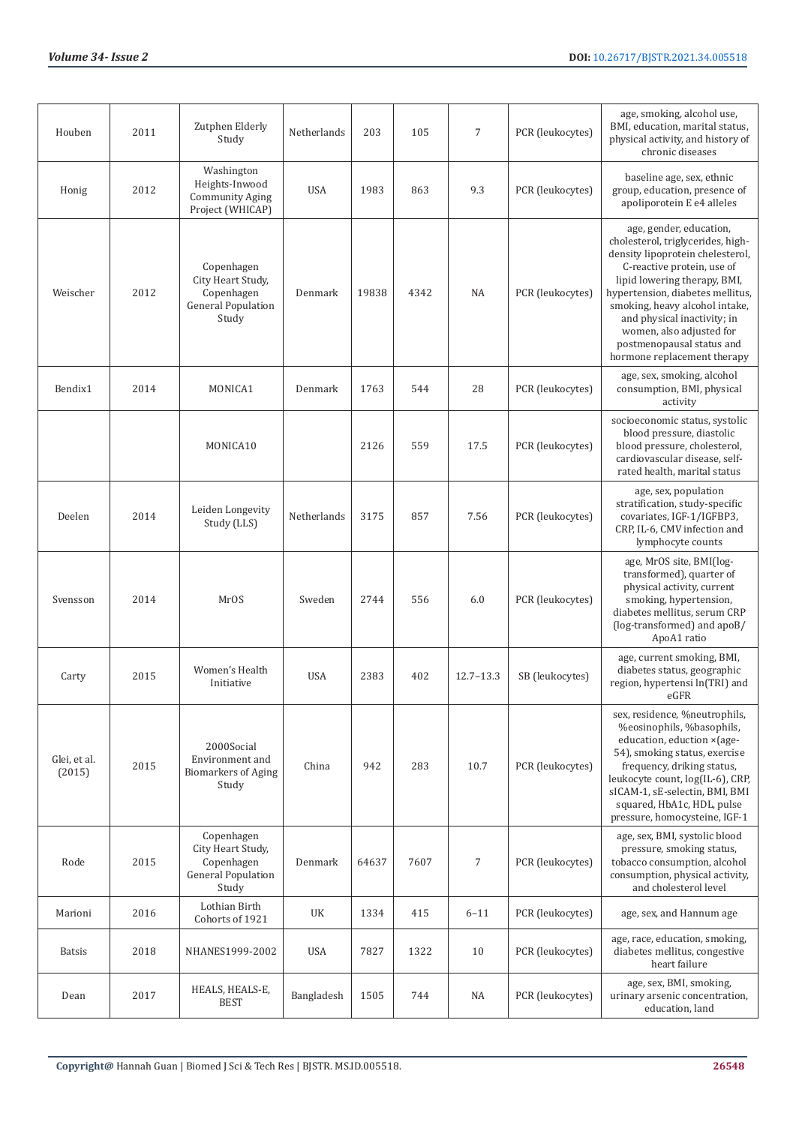| Houben                 | 2011 | Zutphen Elderly<br>Study                                                            | Netherlands | 203   | 105  | 7             | PCR (leukocytes) | age, smoking, alcohol use,<br>BMI, education, marital status,<br>physical activity, and history of<br>chronic diseases                                                                                                                                                                                                                                      |
|------------------------|------|-------------------------------------------------------------------------------------|-------------|-------|------|---------------|------------------|-------------------------------------------------------------------------------------------------------------------------------------------------------------------------------------------------------------------------------------------------------------------------------------------------------------------------------------------------------------|
| Honig                  | 2012 | Washington<br>Heights-Inwood<br><b>Community Aging</b><br>Project (WHICAP)          | <b>USA</b>  | 1983  | 863  | 9.3           | PCR (leukocytes) | baseline age, sex, ethnic<br>group, education, presence of<br>apoliporotein E e4 alleles                                                                                                                                                                                                                                                                    |
| Weischer               | 2012 | Copenhagen<br>City Heart Study,<br>Copenhagen<br><b>General Population</b><br>Study | Denmark     | 19838 | 4342 | <b>NA</b>     | PCR (leukocytes) | age, gender, education,<br>cholesterol, triglycerides, high-<br>density lipoprotein chelesterol,<br>C-reactive protein, use of<br>lipid lowering therapy, BMI,<br>hypertension, diabetes mellitus,<br>smoking, heavy alcohol intake,<br>and physical inactivity; in<br>women, also adjusted for<br>postmenopausal status and<br>hormone replacement therapy |
| Bendix1                | 2014 | MONICA1                                                                             | Denmark     | 1763  | 544  | 28            | PCR (leukocytes) | age, sex, smoking, alcohol<br>consumption, BMI, physical<br>activity                                                                                                                                                                                                                                                                                        |
|                        |      | MONICA10                                                                            |             | 2126  | 559  | 17.5          | PCR (leukocytes) | socioeconomic status, systolic<br>blood pressure, diastolic<br>blood pressure, cholesterol,<br>cardiovascular disease, self-<br>rated health, marital status                                                                                                                                                                                                |
| Deelen                 | 2014 | Leiden Longevity<br>Study (LLS)                                                     | Netherlands | 3175  | 857  | 7.56          | PCR (leukocytes) | age, sex, population<br>stratification, study-specific<br>covariates, IGF-1/IGFBP3,<br>CRP, IL-6, CMV infection and<br>lymphocyte counts                                                                                                                                                                                                                    |
| Svensson               | 2014 | MrOS                                                                                | Sweden      | 2744  | 556  | 6.0           | PCR (leukocytes) | age, MrOS site, BMI(log-<br>transformed), quarter of<br>physical activity, current<br>smoking, hypertension,<br>diabetes mellitus, serum CRP<br>(log-transformed) and apoB/<br>ApoA1 ratio                                                                                                                                                                  |
| Carty                  | 2015 | Women's Health<br>Initiative                                                        | <b>USA</b>  | 2383  | 402  | $12.7 - 13.3$ | SB (leukocytes)  | age, current smoking, BMI,<br>diabetes status, geographic<br>region, hypertensi ln(TRI) and<br>eGFR                                                                                                                                                                                                                                                         |
| Glei, et al.<br>(2015) | 2015 | 2000Social<br>Environment and<br><b>Biomarkers of Aging</b><br>Study                | China       | 942   | 283  | 10.7          | PCR (leukocytes) | sex, residence, %neutrophils,<br>%eosinophils, %basophils,<br>education, eduction × (age-<br>54), smoking status, exercise<br>frequency, driking status,<br>leukocyte count, log(IL-6), CRP,<br>sICAM-1, sE-selectin, BMI, BMI<br>squared, HbA1c, HDL, pulse<br>pressure, homocysteine, IGF-1                                                               |
| Rode                   | 2015 | Copenhagen<br>City Heart Study,<br>Copenhagen<br><b>General Population</b><br>Study | Denmark     | 64637 | 7607 | 7             | PCR (leukocytes) | age, sex, BMI, systolic blood<br>pressure, smoking status,<br>tobacco consumption, alcohol<br>consumption, physical activity,<br>and cholesterol level                                                                                                                                                                                                      |
| Marioni                | 2016 | Lothian Birth<br>Cohorts of 1921                                                    | UK          | 1334  | 415  | $6 - 11$      | PCR (leukocytes) | age, sex, and Hannum age                                                                                                                                                                                                                                                                                                                                    |
| <b>Batsis</b>          | 2018 | NHANES1999-2002                                                                     | <b>USA</b>  | 7827  | 1322 | 10            | PCR (leukocytes) | age, race, education, smoking,<br>diabetes mellitus, congestive<br>heart failure                                                                                                                                                                                                                                                                            |
| Dean                   | 2017 | HEALS, HEALS-E,<br><b>BEST</b>                                                      | Bangladesh  | 1505  | 744  | NA            | PCR (leukocytes) | age, sex, BMI, smoking,<br>urinary arsenic concentration,<br>education, land                                                                                                                                                                                                                                                                                |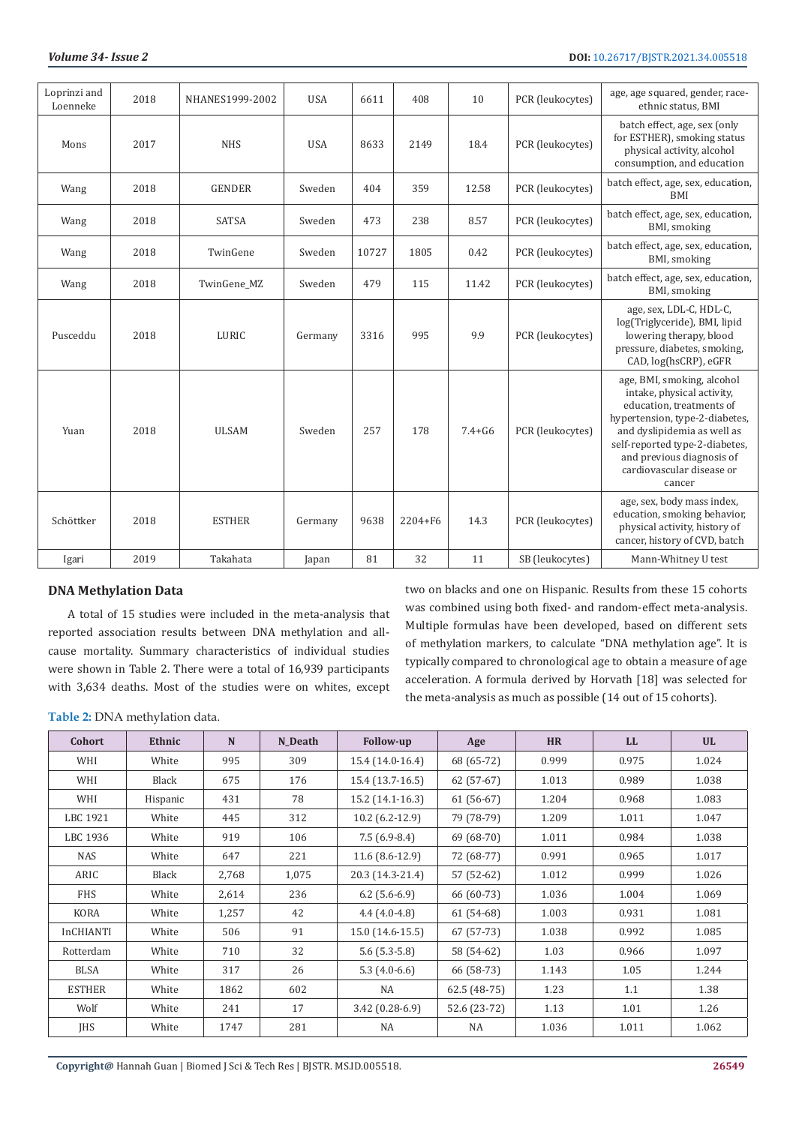| Loprinzi and<br>Loenneke | 2018 | NHANES1999-2002 | <b>USA</b> | 6611  | 408         | 10         | PCR (leukocytes) | age, age squared, gender, race-<br>ethnic status, BMI                                                                                                                                                                                                       |
|--------------------------|------|-----------------|------------|-------|-------------|------------|------------------|-------------------------------------------------------------------------------------------------------------------------------------------------------------------------------------------------------------------------------------------------------------|
| Mons                     | 2017 | <b>NHS</b>      | <b>USA</b> | 8633  | 2149        | 18.4       | PCR (leukocytes) | batch effect, age, sex (only<br>for ESTHER), smoking status<br>physical activity, alcohol<br>consumption, and education                                                                                                                                     |
| Wang                     | 2018 | <b>GENDER</b>   | Sweden     | 404   | 359         | 12.58      | PCR (leukocytes) | batch effect, age, sex, education,<br><b>BMI</b>                                                                                                                                                                                                            |
| Wang                     | 2018 | <b>SATSA</b>    | Sweden     | 473   | 238         | 8.57       | PCR (leukocytes) | batch effect, age, sex, education,<br>BMI, smoking                                                                                                                                                                                                          |
| Wang                     | 2018 | TwinGene        | Sweden     | 10727 | 1805        | 0.42       | PCR (leukocytes) | batch effect, age, sex, education,<br>BMI, smoking                                                                                                                                                                                                          |
| Wang                     | 2018 | TwinGene_MZ     | Sweden     | 479   | 115         | 11.42      | PCR (leukocytes) | batch effect, age, sex, education,<br>BMI, smoking                                                                                                                                                                                                          |
| Pusceddu                 | 2018 | LURIC           | Germany    | 3316  | 995         | 9.9        | PCR (leukocytes) | age, sex, LDL-C, HDL-C,<br>log(Triglyceride), BMI, lipid<br>lowering therapy, blood<br>pressure, diabetes, smoking,<br>CAD, log(hsCRP), eGFR                                                                                                                |
| Yuan                     | 2018 | <b>ULSAM</b>    | Sweden     | 257   | 178         | $7.4 + G6$ | PCR (leukocytes) | age, BMI, smoking, alcohol<br>intake, physical activity,<br>education, treatments of<br>hypertension, type-2-diabetes,<br>and dyslipidemia as well as<br>self-reported type-2-diabetes,<br>and previous diagnosis of<br>cardiovascular disease or<br>cancer |
| Schöttker                | 2018 | <b>ESTHER</b>   | Germany    | 9638  | $2204 + F6$ | 14.3       | PCR (leukocytes) | age, sex, body mass index,<br>education, smoking behavior,<br>physical activity, history of<br>cancer, history of CVD, batch                                                                                                                                |
| Igari                    | 2019 | Takahata        | Japan      | 81    | 32          | 11         | SB (leukocytes)  | Mann-Whitney U test                                                                                                                                                                                                                                         |

## **DNA Methylation Data**

A total of 15 studies were included in the meta-analysis that reported association results between DNA methylation and allcause mortality. Summary characteristics of individual studies were shown in Table 2. There were a total of 16,939 participants with 3,634 deaths. Most of the studies were on whites, except two on blacks and one on Hispanic. Results from these 15 cohorts was combined using both fixed- and random-effect meta-analysis. Multiple formulas have been developed, based on different sets of methylation markers, to calculate "DNA methylation age". It is typically compared to chronological age to obtain a measure of age acceleration. A formula derived by Horvath [18] was selected for the meta-analysis as much as possible (14 out of 15 cohorts).

**Table 2:** DNA methylation data.

| Cohort           | Ethnic   | N     | N Death | <b>Follow-up</b> | Age           | <b>HR</b> | LL.   | <b>UL</b> |
|------------------|----------|-------|---------|------------------|---------------|-----------|-------|-----------|
| WHI              | White    | 995   | 309     | 15.4 (14.0-16.4) | 68 (65-72)    | 0.999     | 0.975 | 1.024     |
| WHI              | Black    | 675   | 176     | 15.4 (13.7-16.5) | $62(57-67)$   | 1.013     | 0.989 | 1.038     |
| WHI              | Hispanic | 431   | 78      | 15.2 (14.1-16.3) | $61(56-67)$   | 1.204     | 0.968 | 1.083     |
| LBC 1921         | White    | 445   | 312     | $10.2(6.2-12.9)$ | 79 (78-79)    | 1.209     | 1.011 | 1.047     |
| LBC 1936         | White    | 919   | 106     | $7.5(6.9-8.4)$   | 69 (68-70)    | 1.011     | 0.984 | 1.038     |
| <b>NAS</b>       | White    | 647   | 221     | $11.6(8.6-12.9)$ | 72 (68-77)    | 0.991     | 0.965 | 1.017     |
| ARIC             | Black    | 2,768 | 1,075   | 20.3 (14.3-21.4) | 57 (52-62)    | 1.012     | 0.999 | 1.026     |
| <b>FHS</b>       | White    | 2,614 | 236     | $6.2$ (5.6-6.9)  | 66 (60-73)    | 1.036     | 1.004 | 1.069     |
| KORA             | White    | 1,257 | 42      | $4.4(4.0-4.8)$   | $61(54-68)$   | 1.003     | 0.931 | 1.081     |
| <b>InCHIANTI</b> | White    | 506   | 91      | 15.0 (14.6-15.5) | $67(57-73)$   | 1.038     | 0.992 | 1.085     |
| Rotterdam        | White    | 710   | 32      | $5.6(5.3-5.8)$   | 58 (54-62)    | 1.03      | 0.966 | 1.097     |
| <b>BLSA</b>      | White    | 317   | 26      | $5.3(4.0-6.6)$   | 66 (58-73)    | 1.143     | 1.05  | 1.244     |
| <b>ESTHER</b>    | White    | 1862  | 602     | NA               | $62.5(48-75)$ | 1.23      | 1.1   | 1.38      |
| Wolf             | White    | 241   | 17      | $3.42(0.28-6.9)$ | 52.6 (23-72)  | 1.13      | 1.01  | 1.26      |
| <b>JHS</b>       | White    | 1747  | 281     | <b>NA</b>        | NA            | 1.036     | 1.011 | 1.062     |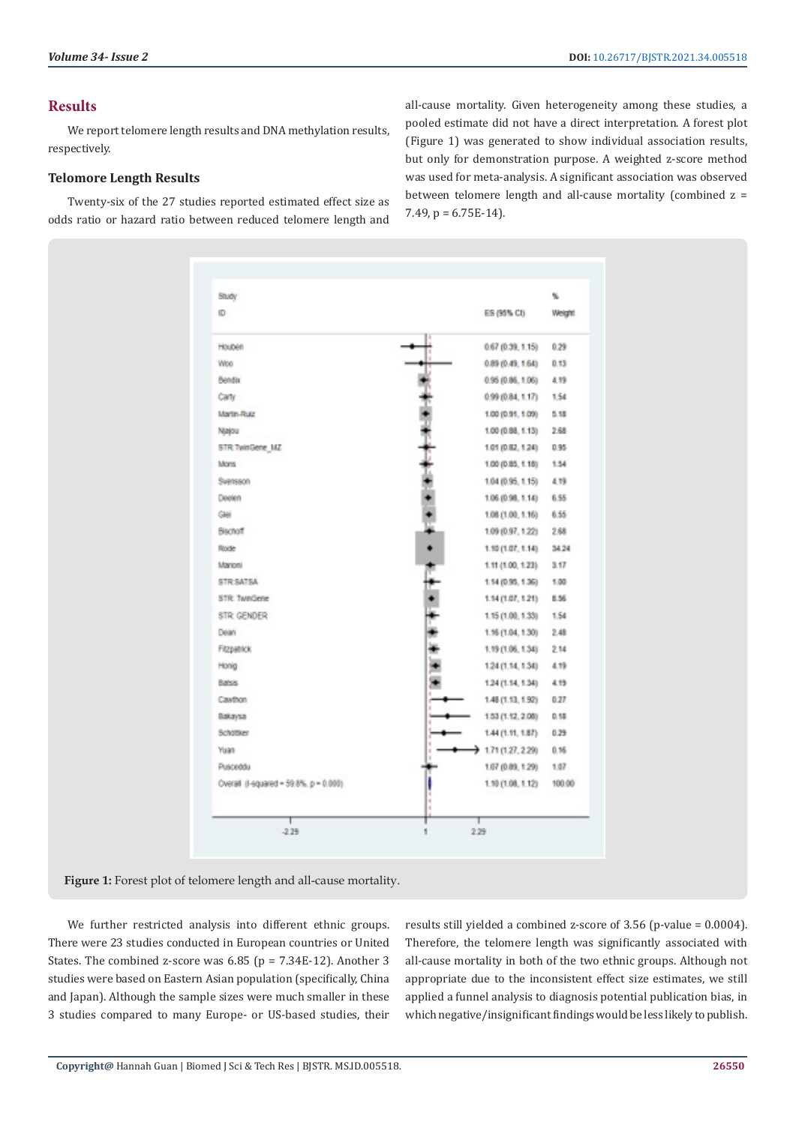## **Results**

We report telomere length results and DNA methylation results, respectively.

## **Telomore Length Results**

Twenty-six of the 27 studies reported estimated effect size as odds ratio or hazard ratio between reduced telomere length and all-cause mortality. Given heterogeneity among these studies, a pooled estimate did not have a direct interpretation. A forest plot (Figure 1) was generated to show individual association results, but only for demonstration purpose. A weighted z-score method was used for meta-analysis. A significant association was observed between telomere length and all-cause mortality (combined z = 7.49,  $p = 6.75E-14$ .

| Study                                   |                     | u      |
|-----------------------------------------|---------------------|--------|
| Ю                                       | ES (95% CI)         | Weight |
| Houben                                  | 0.67 (0.39, 1.15)   | 0.29   |
| Woo                                     | 0.89(0.49, 1.64)    | 0.13   |
| Bendix                                  | 0.95 (0.86, 1.06)   | 4.19   |
| Carty                                   | 0.99 (0.84, 1.17)   | 1.54   |
| Martin-Rusz                             | 1.00 (0.91, 1.09)   | 5.58   |
| Najou                                   | 1.00 (0.88, 1.13)   | 2.68   |
| STR TwinGene 14Z                        | 1.01 (0.82, 1.24)   | 0.95   |
| Mons                                    | 1.00 (0.85, 1.18)   | 1.54   |
| Svensson                                | 1.04 (0.95, 1.15)   | 4.19   |
| Deelen                                  | 1.06 (0.98, 1.14)   | 6.55   |
| Gei                                     | 1.08 (1.00, 1.16)   | 6.55   |
| <b>Bischoff</b>                         | 1.09 (0.97, 1.22)   | 2.68   |
| Rode                                    | 1.10(1.07, 1.14)    | 34.24  |
| Marioni                                 | 1.11 (1.00, 1.23)   | 3.17   |
| STR SATSA                               | 1.14 (0.95, 1.36)   | 1.00   |
| STR: TwnGene                            | 1.14(1.07, 1.21)    | 8.56   |
| <b>STR GENDER</b>                       | 1.15 (1.00, 1.33)   | 1.54   |
| Dean                                    | 1.16 (1.04, 1.30)   | 2.48   |
| Fitzpatrick                             | 1.19 (1.06, 1.34)   | 214    |
| Honig                                   | 1.24 (1.14, 1.34)   | 4.19   |
| Bahsis                                  | 1.24 (1.14, 1.34)   | 4.19   |
| <b>Cavthon</b>                          | 1.48 (1.13, 1.92)   | 0.27   |
| Bakaysa                                 | 1.53 (1.12, 2.08)   | 0.58   |
| Schotker                                | 1.44 (1.11, 1.87)   | 0.29   |
| Yuan                                    | $+1.71(1.27, 2.29)$ | 0.16   |
| Pusceddu                                | 1.07 (0.89, 1.29)   | 1.07   |
| Overall (I-squared = 59.8%, p = 0.000). | 1.10 (1.08, 1.12)   | 100.00 |
| $-2.29$                                 | 2.29<br>۴           |        |

#### Figure 1: Forest plot of telomere length and all-cause mortality.

We further restricted analysis into different ethnic groups. There were 23 studies conducted in European countries or United States. The combined z-score was  $6.85$  (p =  $7.34E-12$ ). Another 3 studies were based on Eastern Asian population (specifically, China and Japan). Although the sample sizes were much smaller in these 3 studies compared to many Europe- or US-based studies, their

results still yielded a combined z-score of 3.56 (p-value = 0.0004). Therefore, the telomere length was significantly associated with all-cause mortality in both of the two ethnic groups. Although not appropriate due to the inconsistent effect size estimates, we still applied a funnel analysis to diagnosis potential publication bias, in which negative/insignificant findings would be less likely to publish.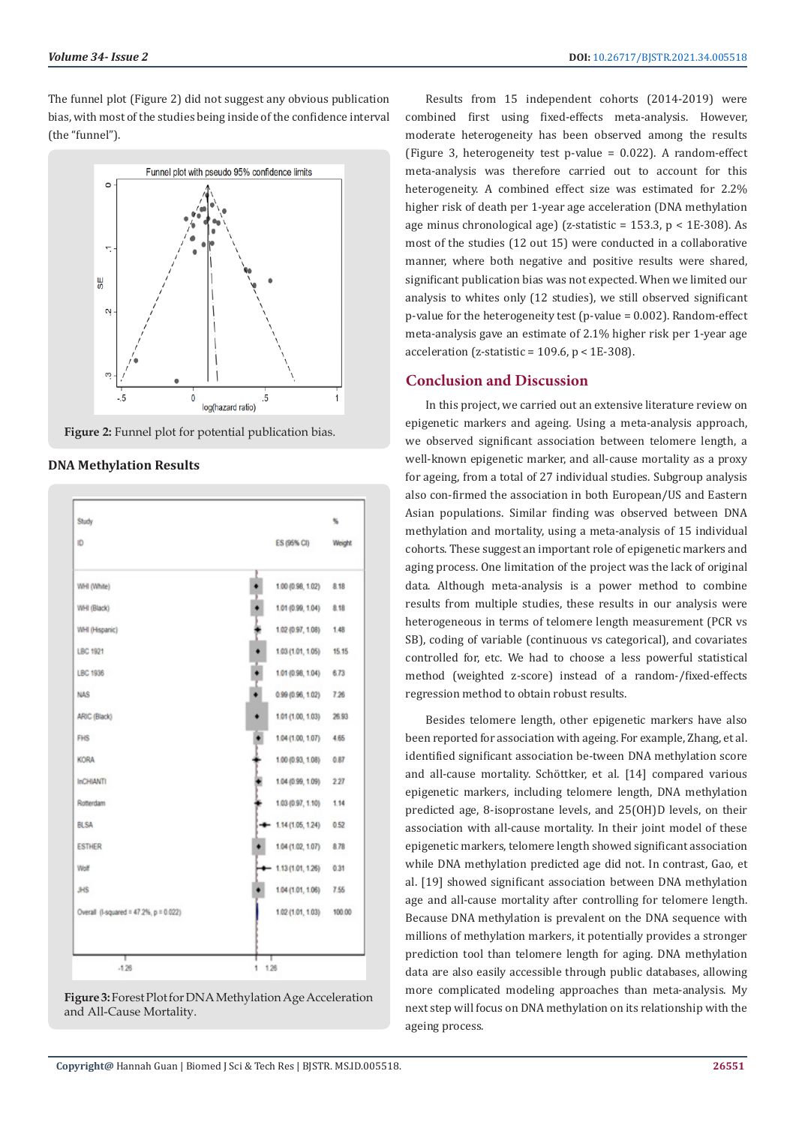The funnel plot (Figure 2) did not suggest any obvious publication bias, with most of the studies being inside of the confidence interval (the "funnel").





#### **DNA Methylation Results**





Results from 15 independent cohorts (2014-2019) were combined first using fixed-effects meta-analysis. However, moderate heterogeneity has been observed among the results (Figure 3, heterogeneity test p-value = 0.022). A random-effect meta-analysis was therefore carried out to account for this heterogeneity. A combined effect size was estimated for 2.2% higher risk of death per 1-year age acceleration (DNA methylation age minus chronological age) (z-statistic =  $153.3$ , p <  $1E-308$ ). As most of the studies (12 out 15) were conducted in a collaborative manner, where both negative and positive results were shared, significant publication bias was not expected. When we limited our analysis to whites only (12 studies), we still observed significant p-value for the heterogeneity test (p-value = 0.002). Random-effect meta-analysis gave an estimate of 2.1% higher risk per 1-year age acceleration ( $z$ -statistic = 109.6,  $p < 1E-308$ ).

## **Conclusion and Discussion**

In this project, we carried out an extensive literature review on epigenetic markers and ageing. Using a meta-analysis approach, we observed significant association between telomere length, a well-known epigenetic marker, and all-cause mortality as a proxy for ageing, from a total of 27 individual studies. Subgroup analysis also con-firmed the association in both European/US and Eastern Asian populations. Similar finding was observed between DNA methylation and mortality, using a meta-analysis of 15 individual cohorts. These suggest an important role of epigenetic markers and aging process. One limitation of the project was the lack of original data. Although meta-analysis is a power method to combine results from multiple studies, these results in our analysis were heterogeneous in terms of telomere length measurement (PCR vs SB), coding of variable (continuous vs categorical), and covariates controlled for, etc. We had to choose a less powerful statistical method (weighted z-score) instead of a random-/fixed-effects regression method to obtain robust results.

Besides telomere length, other epigenetic markers have also been reported for association with ageing. For example, Zhang, et al. identified significant association be-tween DNA methylation score and all-cause mortality. Schöttker, et al. [14] compared various epigenetic markers, including telomere length, DNA methylation predicted age, 8-isoprostane levels, and 25(OH)D levels, on their association with all-cause mortality. In their joint model of these epigenetic markers, telomere length showed significant association while DNA methylation predicted age did not. In contrast, Gao, et al. [19] showed significant association between DNA methylation age and all-cause mortality after controlling for telomere length. Because DNA methylation is prevalent on the DNA sequence with millions of methylation markers, it potentially provides a stronger prediction tool than telomere length for aging. DNA methylation data are also easily accessible through public databases, allowing more complicated modeling approaches than meta-analysis. My next step will focus on DNA methylation on its relationship with the ageing process.